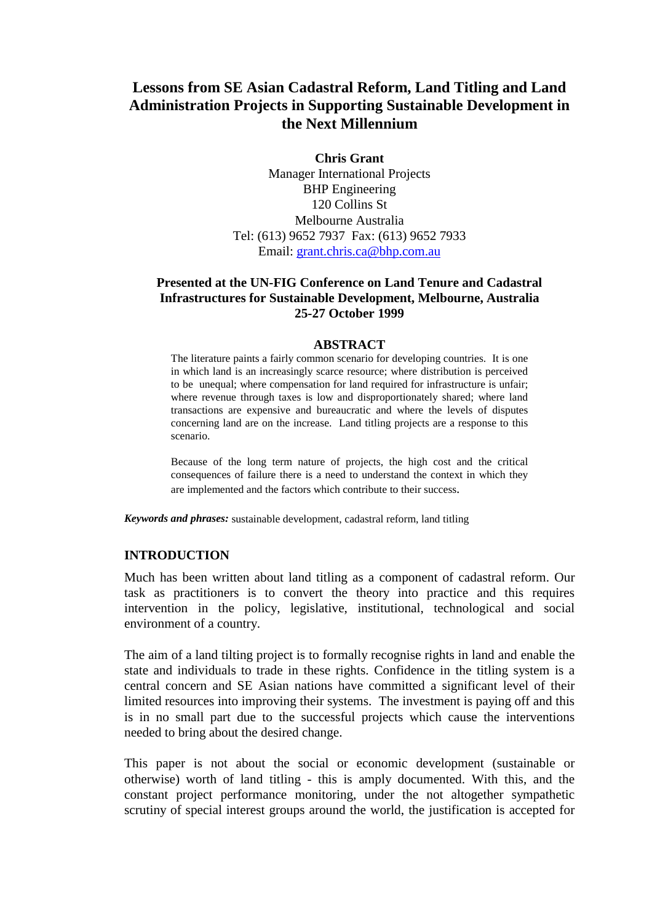# **Lessons from SE Asian Cadastral Reform, Land Titling and Land Administration Projects in Supporting Sustainable Development in the Next Millennium**

**Chris Grant** Manager International Projects BHP Engineering 120 Collins St Melbourne Australia Tel: (613) 9652 7937 Fax: (613) 9652 7933 Email: grant.chris.ca@bhp.com.au

# **Presented at the UN-FIG Conference on Land Tenure and Cadastral Infrastructures for Sustainable Development, Melbourne, Australia 25-27 October 1999**

#### **ABSTRACT**

The literature paints a fairly common scenario for developing countries. It is one in which land is an increasingly scarce resource; where distribution is perceived to be unequal; where compensation for land required for infrastructure is unfair; where revenue through taxes is low and disproportionately shared; where land transactions are expensive and bureaucratic and where the levels of disputes concerning land are on the increase. Land titling projects are a response to this scenario.

Because of the long term nature of projects, the high cost and the critical consequences of failure there is a need to understand the context in which they are implemented and the factors which contribute to their success.

*Keywords and phrases:* sustainable development, cadastral reform, land titling

#### **INTRODUCTION**

Much has been written about land titling as a component of cadastral reform. Our task as practitioners is to convert the theory into practice and this requires intervention in the policy, legislative, institutional, technological and social environment of a country.

The aim of a land tilting project is to formally recognise rights in land and enable the state and individuals to trade in these rights. Confidence in the titling system is a central concern and SE Asian nations have committed a significant level of their limited resources into improving their systems. The investment is paying off and this is in no small part due to the successful projects which cause the interventions needed to bring about the desired change.

This paper is not about the social or economic development (sustainable or otherwise) worth of land titling - this is amply documented. With this, and the constant project performance monitoring, under the not altogether sympathetic scrutiny of special interest groups around the world, the justification is accepted for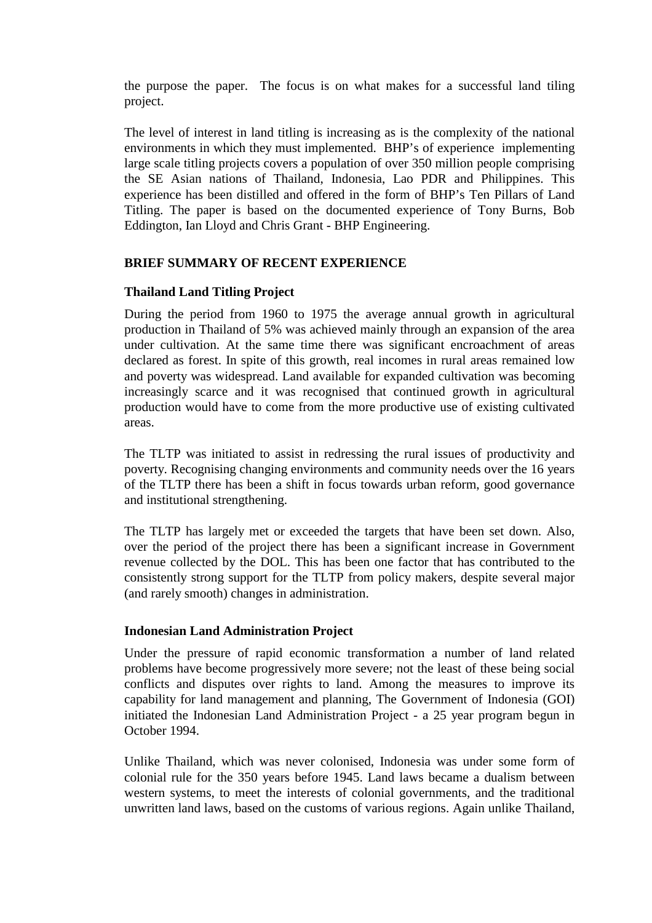the purpose the paper. The focus is on what makes for a successful land tiling project.

The level of interest in land titling is increasing as is the complexity of the national environments in which they must implemented. BHP's of experience implementing large scale titling projects covers a population of over 350 million people comprising the SE Asian nations of Thailand, Indonesia, Lao PDR and Philippines. This experience has been distilled and offered in the form of BHP's Ten Pillars of Land Titling. The paper is based on the documented experience of Tony Burns, Bob Eddington, Ian Lloyd and Chris Grant - BHP Engineering.

### **BRIEF SUMMARY OF RECENT EXPERIENCE**

#### **Thailand Land Titling Project**

During the period from 1960 to 1975 the average annual growth in agricultural production in Thailand of 5% was achieved mainly through an expansion of the area under cultivation. At the same time there was significant encroachment of areas declared as forest. In spite of this growth, real incomes in rural areas remained low and poverty was widespread. Land available for expanded cultivation was becoming increasingly scarce and it was recognised that continued growth in agricultural production would have to come from the more productive use of existing cultivated areas.

The TLTP was initiated to assist in redressing the rural issues of productivity and poverty. Recognising changing environments and community needs over the 16 years of the TLTP there has been a shift in focus towards urban reform, good governance and institutional strengthening.

The TLTP has largely met or exceeded the targets that have been set down. Also, over the period of the project there has been a significant increase in Government revenue collected by the DOL. This has been one factor that has contributed to the consistently strong support for the TLTP from policy makers, despite several major (and rarely smooth) changes in administration.

### **Indonesian Land Administration Project**

Under the pressure of rapid economic transformation a number of land related problems have become progressively more severe; not the least of these being social conflicts and disputes over rights to land. Among the measures to improve its capability for land management and planning, The Government of Indonesia (GOI) initiated the Indonesian Land Administration Project - a 25 year program begun in October 1994.

Unlike Thailand, which was never colonised, Indonesia was under some form of colonial rule for the 350 years before 1945. Land laws became a dualism between western systems, to meet the interests of colonial governments, and the traditional unwritten land laws, based on the customs of various regions. Again unlike Thailand,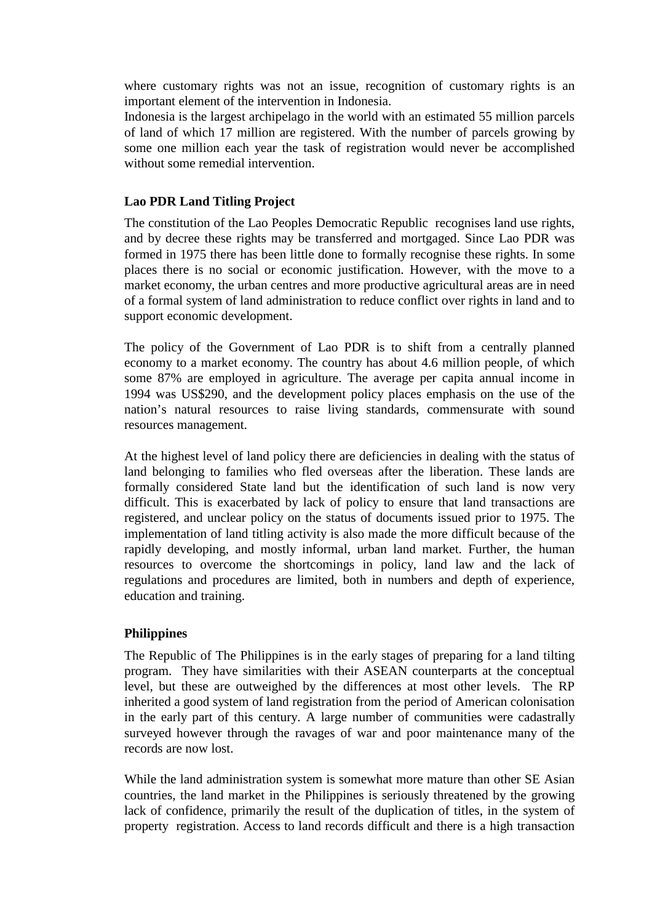where customary rights was not an issue, recognition of customary rights is an important element of the intervention in Indonesia.

Indonesia is the largest archipelago in the world with an estimated 55 million parcels of land of which 17 million are registered. With the number of parcels growing by some one million each year the task of registration would never be accomplished without some remedial intervention.

#### **Lao PDR Land Titling Project**

The constitution of the Lao Peoples Democratic Republic recognises land use rights, and by decree these rights may be transferred and mortgaged. Since Lao PDR was formed in 1975 there has been little done to formally recognise these rights. In some places there is no social or economic justification. However, with the move to a market economy, the urban centres and more productive agricultural areas are in need of a formal system of land administration to reduce conflict over rights in land and to support economic development.

The policy of the Government of Lao PDR is to shift from a centrally planned economy to a market economy. The country has about 4.6 million people, of which some 87% are employed in agriculture. The average per capita annual income in 1994 was US\$290, and the development policy places emphasis on the use of the nation's natural resources to raise living standards, commensurate with sound resources management.

At the highest level of land policy there are deficiencies in dealing with the status of land belonging to families who fled overseas after the liberation. These lands are formally considered State land but the identification of such land is now very difficult. This is exacerbated by lack of policy to ensure that land transactions are registered, and unclear policy on the status of documents issued prior to 1975. The implementation of land titling activity is also made the more difficult because of the rapidly developing, and mostly informal, urban land market. Further, the human resources to overcome the shortcomings in policy, land law and the lack of regulations and procedures are limited, both in numbers and depth of experience, education and training.

### **Philippines**

The Republic of The Philippines is in the early stages of preparing for a land tilting program. They have similarities with their ASEAN counterparts at the conceptual level, but these are outweighed by the differences at most other levels. The RP inherited a good system of land registration from the period of American colonisation in the early part of this century. A large number of communities were cadastrally surveyed however through the ravages of war and poor maintenance many of the records are now lost.

While the land administration system is somewhat more mature than other SE Asian countries, the land market in the Philippines is seriously threatened by the growing lack of confidence, primarily the result of the duplication of titles, in the system of property registration. Access to land records difficult and there is a high transaction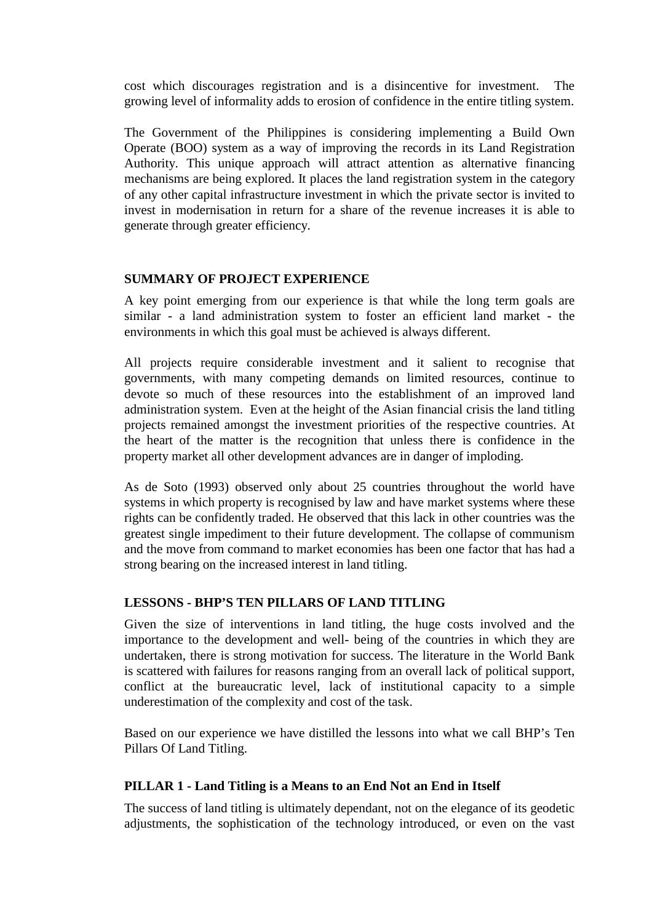cost which discourages registration and is a disincentive for investment. The growing level of informality adds to erosion of confidence in the entire titling system.

The Government of the Philippines is considering implementing a Build Own Operate (BOO) system as a way of improving the records in its Land Registration Authority. This unique approach will attract attention as alternative financing mechanisms are being explored. It places the land registration system in the category of any other capital infrastructure investment in which the private sector is invited to invest in modernisation in return for a share of the revenue increases it is able to generate through greater efficiency.

#### **SUMMARY OF PROJECT EXPERIENCE**

A key point emerging from our experience is that while the long term goals are similar - a land administration system to foster an efficient land market - the environments in which this goal must be achieved is always different.

All projects require considerable investment and it salient to recognise that governments, with many competing demands on limited resources, continue to devote so much of these resources into the establishment of an improved land administration system. Even at the height of the Asian financial crisis the land titling projects remained amongst the investment priorities of the respective countries. At the heart of the matter is the recognition that unless there is confidence in the property market all other development advances are in danger of imploding.

As de Soto (1993) observed only about 25 countries throughout the world have systems in which property is recognised by law and have market systems where these rights can be confidently traded. He observed that this lack in other countries was the greatest single impediment to their future development. The collapse of communism and the move from command to market economies has been one factor that has had a strong bearing on the increased interest in land titling.

### **LESSONS - BHP'S TEN PILLARS OF LAND TITLING**

Given the size of interventions in land titling, the huge costs involved and the importance to the development and well- being of the countries in which they are undertaken, there is strong motivation for success. The literature in the World Bank is scattered with failures for reasons ranging from an overall lack of political support, conflict at the bureaucratic level, lack of institutional capacity to a simple underestimation of the complexity and cost of the task.

Based on our experience we have distilled the lessons into what we call BHP's Ten Pillars Of Land Titling.

### **PILLAR 1 - Land Titling is a Means to an End Not an End in Itself**

The success of land titling is ultimately dependant, not on the elegance of its geodetic adjustments, the sophistication of the technology introduced, or even on the vast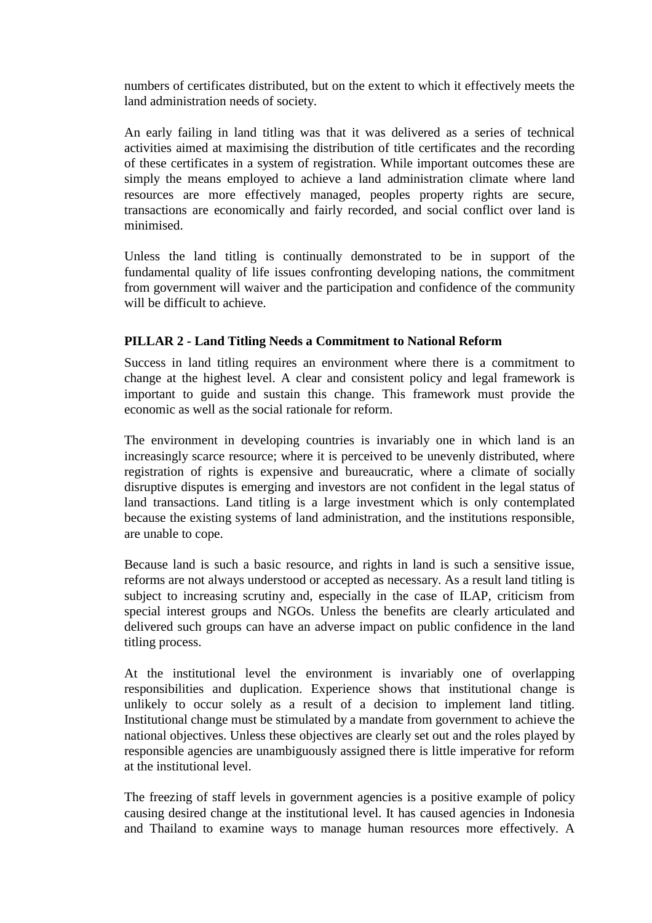numbers of certificates distributed, but on the extent to which it effectively meets the land administration needs of society.

An early failing in land titling was that it was delivered as a series of technical activities aimed at maximising the distribution of title certificates and the recording of these certificates in a system of registration. While important outcomes these are simply the means employed to achieve a land administration climate where land resources are more effectively managed, peoples property rights are secure, transactions are economically and fairly recorded, and social conflict over land is minimised.

Unless the land titling is continually demonstrated to be in support of the fundamental quality of life issues confronting developing nations, the commitment from government will waiver and the participation and confidence of the community will be difficult to achieve.

### **PILLAR 2 - Land Titling Needs a Commitment to National Reform**

Success in land titling requires an environment where there is a commitment to change at the highest level. A clear and consistent policy and legal framework is important to guide and sustain this change. This framework must provide the economic as well as the social rationale for reform.

The environment in developing countries is invariably one in which land is an increasingly scarce resource; where it is perceived to be unevenly distributed, where registration of rights is expensive and bureaucratic, where a climate of socially disruptive disputes is emerging and investors are not confident in the legal status of land transactions. Land titling is a large investment which is only contemplated because the existing systems of land administration, and the institutions responsible, are unable to cope.

Because land is such a basic resource, and rights in land is such a sensitive issue, reforms are not always understood or accepted as necessary. As a result land titling is subject to increasing scrutiny and, especially in the case of ILAP, criticism from special interest groups and NGOs. Unless the benefits are clearly articulated and delivered such groups can have an adverse impact on public confidence in the land titling process.

At the institutional level the environment is invariably one of overlapping responsibilities and duplication. Experience shows that institutional change is unlikely to occur solely as a result of a decision to implement land titling. Institutional change must be stimulated by a mandate from government to achieve the national objectives. Unless these objectives are clearly set out and the roles played by responsible agencies are unambiguously assigned there is little imperative for reform at the institutional level.

The freezing of staff levels in government agencies is a positive example of policy causing desired change at the institutional level. It has caused agencies in Indonesia and Thailand to examine ways to manage human resources more effectively. A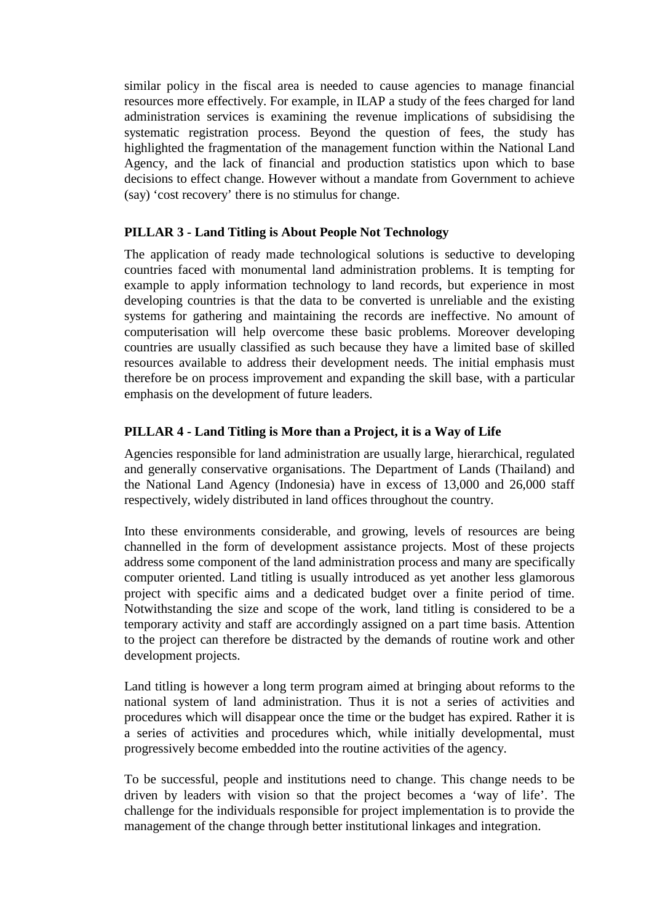similar policy in the fiscal area is needed to cause agencies to manage financial resources more effectively. For example, in ILAP a study of the fees charged for land administration services is examining the revenue implications of subsidising the systematic registration process. Beyond the question of fees, the study has highlighted the fragmentation of the management function within the National Land Agency, and the lack of financial and production statistics upon which to base decisions to effect change. However without a mandate from Government to achieve (say) 'cost recovery' there is no stimulus for change.

### **PILLAR 3 - Land Titling is About People Not Technology**

The application of ready made technological solutions is seductive to developing countries faced with monumental land administration problems. It is tempting for example to apply information technology to land records, but experience in most developing countries is that the data to be converted is unreliable and the existing systems for gathering and maintaining the records are ineffective. No amount of computerisation will help overcome these basic problems. Moreover developing countries are usually classified as such because they have a limited base of skilled resources available to address their development needs. The initial emphasis must therefore be on process improvement and expanding the skill base, with a particular emphasis on the development of future leaders.

### **PILLAR 4 - Land Titling is More than a Project, it is a Way of Life**

Agencies responsible for land administration are usually large, hierarchical, regulated and generally conservative organisations. The Department of Lands (Thailand) and the National Land Agency (Indonesia) have in excess of 13,000 and 26,000 staff respectively, widely distributed in land offices throughout the country.

Into these environments considerable, and growing, levels of resources are being channelled in the form of development assistance projects. Most of these projects address some component of the land administration process and many are specifically computer oriented. Land titling is usually introduced as yet another less glamorous project with specific aims and a dedicated budget over a finite period of time. Notwithstanding the size and scope of the work, land titling is considered to be a temporary activity and staff are accordingly assigned on a part time basis. Attention to the project can therefore be distracted by the demands of routine work and other development projects.

Land titling is however a long term program aimed at bringing about reforms to the national system of land administration. Thus it is not a series of activities and procedures which will disappear once the time or the budget has expired. Rather it is a series of activities and procedures which, while initially developmental, must progressively become embedded into the routine activities of the agency.

To be successful, people and institutions need to change. This change needs to be driven by leaders with vision so that the project becomes a 'way of life'. The challenge for the individuals responsible for project implementation is to provide the management of the change through better institutional linkages and integration.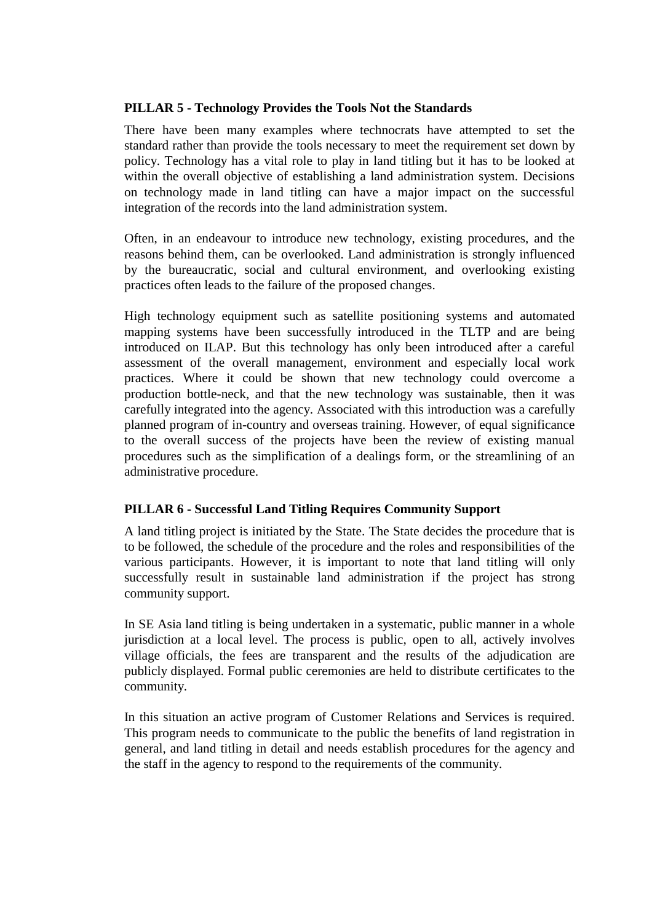# **PILLAR 5 - Technology Provides the Tools Not the Standards**

There have been many examples where technocrats have attempted to set the standard rather than provide the tools necessary to meet the requirement set down by policy. Technology has a vital role to play in land titling but it has to be looked at within the overall objective of establishing a land administration system. Decisions on technology made in land titling can have a major impact on the successful integration of the records into the land administration system.

Often, in an endeavour to introduce new technology, existing procedures, and the reasons behind them, can be overlooked. Land administration is strongly influenced by the bureaucratic, social and cultural environment, and overlooking existing practices often leads to the failure of the proposed changes.

High technology equipment such as satellite positioning systems and automated mapping systems have been successfully introduced in the TLTP and are being introduced on ILAP. But this technology has only been introduced after a careful assessment of the overall management, environment and especially local work practices. Where it could be shown that new technology could overcome a production bottle-neck, and that the new technology was sustainable, then it was carefully integrated into the agency. Associated with this introduction was a carefully planned program of in-country and overseas training. However, of equal significance to the overall success of the projects have been the review of existing manual procedures such as the simplification of a dealings form, or the streamlining of an administrative procedure.

### **PILLAR 6 - Successful Land Titling Requires Community Support**

A land titling project is initiated by the State. The State decides the procedure that is to be followed, the schedule of the procedure and the roles and responsibilities of the various participants. However, it is important to note that land titling will only successfully result in sustainable land administration if the project has strong community support.

In SE Asia land titling is being undertaken in a systematic, public manner in a whole jurisdiction at a local level. The process is public, open to all, actively involves village officials, the fees are transparent and the results of the adjudication are publicly displayed. Formal public ceremonies are held to distribute certificates to the community.

In this situation an active program of Customer Relations and Services is required. This program needs to communicate to the public the benefits of land registration in general, and land titling in detail and needs establish procedures for the agency and the staff in the agency to respond to the requirements of the community.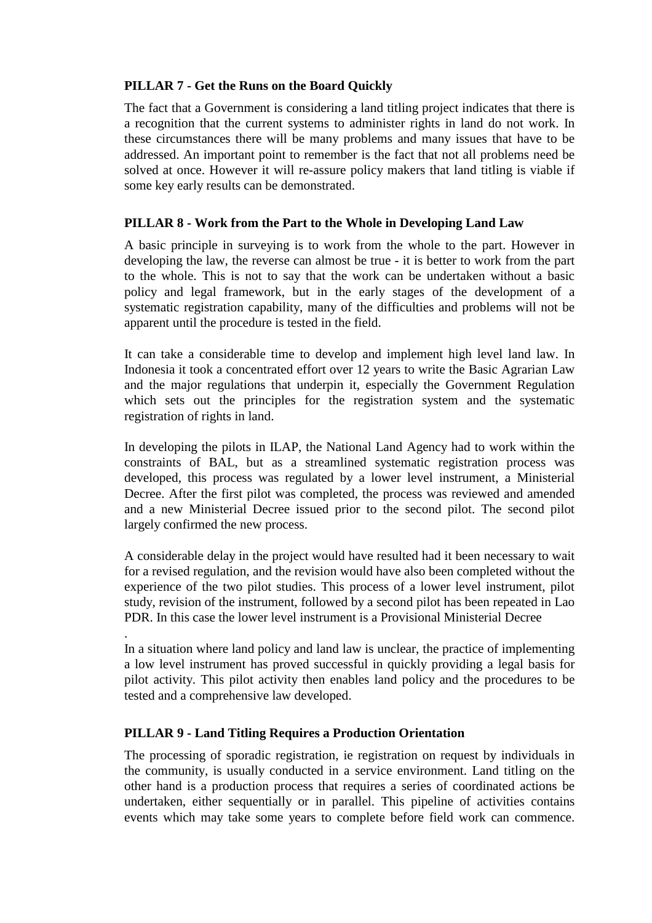#### **PILLAR 7 - Get the Runs on the Board Quickly**

The fact that a Government is considering a land titling project indicates that there is a recognition that the current systems to administer rights in land do not work. In these circumstances there will be many problems and many issues that have to be addressed. An important point to remember is the fact that not all problems need be solved at once. However it will re-assure policy makers that land titling is viable if some key early results can be demonstrated.

# **PILLAR 8 - Work from the Part to the Whole in Developing Land Law**

A basic principle in surveying is to work from the whole to the part. However in developing the law, the reverse can almost be true - it is better to work from the part to the whole. This is not to say that the work can be undertaken without a basic policy and legal framework, but in the early stages of the development of a systematic registration capability, many of the difficulties and problems will not be apparent until the procedure is tested in the field.

It can take a considerable time to develop and implement high level land law. In Indonesia it took a concentrated effort over 12 years to write the Basic Agrarian Law and the major regulations that underpin it, especially the Government Regulation which sets out the principles for the registration system and the systematic registration of rights in land.

In developing the pilots in ILAP, the National Land Agency had to work within the constraints of BAL, but as a streamlined systematic registration process was developed, this process was regulated by a lower level instrument, a Ministerial Decree. After the first pilot was completed, the process was reviewed and amended and a new Ministerial Decree issued prior to the second pilot. The second pilot largely confirmed the new process.

A considerable delay in the project would have resulted had it been necessary to wait for a revised regulation, and the revision would have also been completed without the experience of the two pilot studies. This process of a lower level instrument, pilot study, revision of the instrument, followed by a second pilot has been repeated in Lao PDR. In this case the lower level instrument is a Provisional Ministerial Decree

In a situation where land policy and land law is unclear, the practice of implementing a low level instrument has proved successful in quickly providing a legal basis for pilot activity. This pilot activity then enables land policy and the procedures to be tested and a comprehensive law developed.

### **PILLAR 9 - Land Titling Requires a Production Orientation**

.

The processing of sporadic registration, ie registration on request by individuals in the community, is usually conducted in a service environment. Land titling on the other hand is a production process that requires a series of coordinated actions be undertaken, either sequentially or in parallel. This pipeline of activities contains events which may take some years to complete before field work can commence.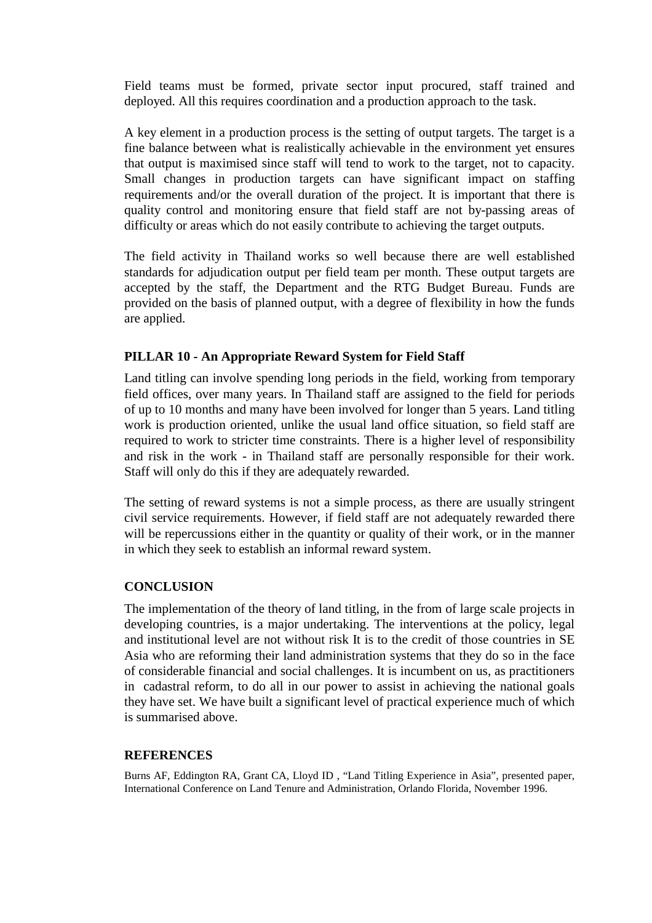Field teams must be formed, private sector input procured, staff trained and deployed. All this requires coordination and a production approach to the task.

A key element in a production process is the setting of output targets. The target is a fine balance between what is realistically achievable in the environment yet ensures that output is maximised since staff will tend to work to the target, not to capacity. Small changes in production targets can have significant impact on staffing requirements and/or the overall duration of the project. It is important that there is quality control and monitoring ensure that field staff are not by-passing areas of difficulty or areas which do not easily contribute to achieving the target outputs.

The field activity in Thailand works so well because there are well established standards for adjudication output per field team per month. These output targets are accepted by the staff, the Department and the RTG Budget Bureau. Funds are provided on the basis of planned output, with a degree of flexibility in how the funds are applied.

#### **PILLAR 10 - An Appropriate Reward System for Field Staff**

Land titling can involve spending long periods in the field, working from temporary field offices, over many years. In Thailand staff are assigned to the field for periods of up to 10 months and many have been involved for longer than 5 years. Land titling work is production oriented, unlike the usual land office situation, so field staff are required to work to stricter time constraints. There is a higher level of responsibility and risk in the work - in Thailand staff are personally responsible for their work. Staff will only do this if they are adequately rewarded.

The setting of reward systems is not a simple process, as there are usually stringent civil service requirements. However, if field staff are not adequately rewarded there will be repercussions either in the quantity or quality of their work, or in the manner in which they seek to establish an informal reward system.

#### **CONCLUSION**

The implementation of the theory of land titling, in the from of large scale projects in developing countries, is a major undertaking. The interventions at the policy, legal and institutional level are not without risk It is to the credit of those countries in SE Asia who are reforming their land administration systems that they do so in the face of considerable financial and social challenges. It is incumbent on us, as practitioners in cadastral reform, to do all in our power to assist in achieving the national goals they have set. We have built a significant level of practical experience much of which is summarised above.

#### **REFERENCES**

Burns AF, Eddington RA, Grant CA, Lloyd ID , "Land Titling Experience in Asia", presented paper, International Conference on Land Tenure and Administration, Orlando Florida, November 1996.